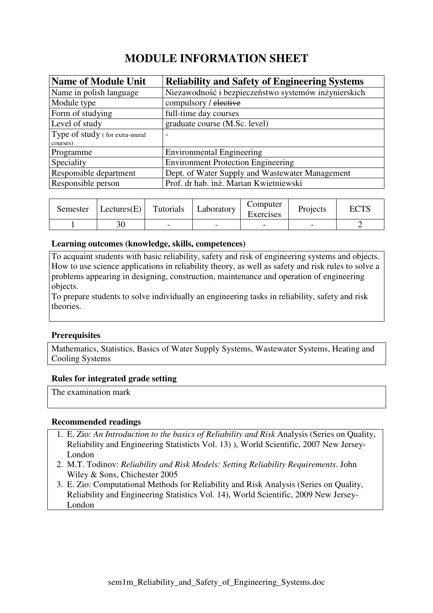# **MODULE INFORMATION SHEET**

| <b>Name of Module Unit</b>     | <b>Reliability and Safety of Engineering Systems</b> |
|--------------------------------|------------------------------------------------------|
| Name in polish language        | Niezawodność i bezpieczeństwo systemów inżynierskich |
| Module type                    | compulsory / elective                                |
| Form of studying               | full-time day courses                                |
| Level of study                 | graduate course (M.Sc. level)                        |
| Type of study (for extra-mural | $\overline{\phantom{0}}$                             |
| courses)                       |                                                      |
| Programme                      | <b>Environmental Engineering</b>                     |
| Speciality                     | <b>Environment Protection Engineering</b>            |
| Responsible department         | Dept. of Water Supply and Wastewater Management      |
| Responsible person             | Prof. dr hab. inż. Marian Kwietniewski               |

| Semester | Lectures(E) | Tutorials | Laboratory | Computer<br>Exercises | Projects | <b>ECTS</b> |
|----------|-------------|-----------|------------|-----------------------|----------|-------------|
|          | 30          |           | -          |                       |          |             |

#### **Learning outcomes (knowledge, skills, competences)**

To acquaint students with basic reliability, safety and risk of engineering systems and objects. How to use science applications in reliability theory, as well as safety and risk rules to solve a problems appearing in designing, construction, maintenance and operation of engineering objects.

To prepare students to solve individually an engineering tasks in reliability, safety and risk theories.

### **Prerequisites**

Mathematics, Statistics, Basics of Water Supply Systems, Wastewater Systems, Heating and Cooling Systems

#### **Rules for integrated grade setting**

The examination mark

#### **Recommended readings**

- 1. E. Zio: *An Introduction to the basics of Reliability and Risk* Analysis (Series on Quality, Reliability and Engineering Statisticts Vol. 13) ), World Scientific, 2007 New Jersey-London
- 2. M.T. Todinov: *Reliability and Risk Models: Setting Reliability Requirements*. John Wiley & Sons, Chichester 2005
- 3. E. Zio: Computational Methods for Reliability and Risk Analysis (Series on Quality, Reliability and Engineering Statistics Vol. 14), World Scientific, 2009 New Jersey-London